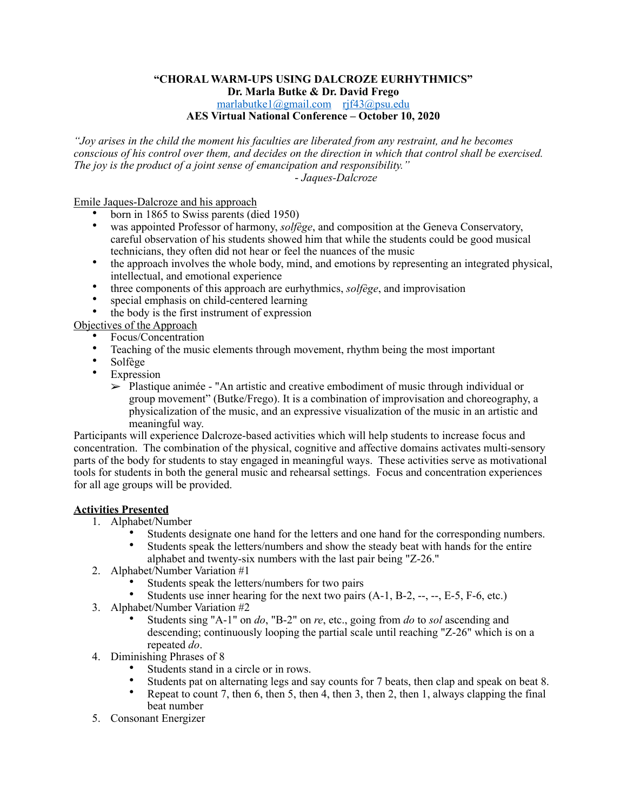## **"CHORAL WARM-UPS USING DALCROZE EURHYTHMICS" Dr. Marla Butke & Dr. David Frego**  [marlabutke1@gmail.com](mailto:marlabutke1@gmail.com) [rjf43@psu.edu](mailto:rjf43@psu.edu) **AES Virtual National Conference – October 10, 2020**

*"Joy arises in the child the moment his faculties are liberated from any restraint, and he becomes conscious of his control over them, and decides on the direction in which that control shall be exercised. The joy is the product of a joint sense of emancipation and responsibility."*  - *Jaques-Dalcroze* 

Emile Jaques-Dalcroze and his approach

- born in 1865 to Swiss parents (died 1950)
- was appointed Professor of harmony, *solfège*, and composition at the Geneva Conservatory, careful observation of his students showed him that while the students could be good musical technicians, they often did not hear or feel the nuances of the music
- the approach involves the whole body, mind, and emotions by representing an integrated physical, intellectual, and emotional experience
- three components of this approach are eurhythmics, *solfège*, and improvisation
- special emphasis on child-centered learning
- the body is the first instrument of expression

Objectives of the Approach

- Focus/Concentration
- Teaching of the music elements through movement, rhythm being the most important
- Solfège
- **Expression** 
	- $\geq$  Plastique animée "An artistic and creative embodiment of music through individual or group movement" (Butke/Frego). It is a combination of improvisation and choreography, a physicalization of the music, and an expressive visualization of the music in an artistic and meaningful way.

Participants will experience Dalcroze-based activities which will help students to increase focus and concentration. The combination of the physical, cognitive and affective domains activates multi-sensory parts of the body for students to stay engaged in meaningful ways. These activities serve as motivational tools for students in both the general music and rehearsal settings. Focus and concentration experiences for all age groups will be provided.

## **Activities Presented**

- 1. Alphabet/Number
	- Students designate one hand for the letters and one hand for the corresponding numbers.<br>• Students speak the letters/numbers and show the steady beat with hands for the entire
	- Students speak the letters/numbers and show the steady beat with hands for the entire alphabet and twenty-six numbers with the last pair being "Z-26."
- 2. Alphabet/Number Variation #1
	- Students speak the letters/numbers for two pairs
	- Students use inner hearing for the next two pairs  $(A-1, B-2, -, -, E-5, F-6, etc.)$
- 3. Alphabet/Number Variation #2
	- Students sing "A-1" on *do*, "B-2" on *re*, etc., going from *do* to *sol* ascending and descending; continuously looping the partial scale until reaching "Z-26" which is on a repeated *do*.
- 4. Diminishing Phrases of 8
	- Students stand in a circle or in rows.
	- Students pat on alternating legs and say counts for 7 beats, then clap and speak on beat 8.
	- Repeat to count 7, then 6, then 5, then 4, then 3, then 2, then 1, always clapping the final beat number
- 5. Consonant Energizer